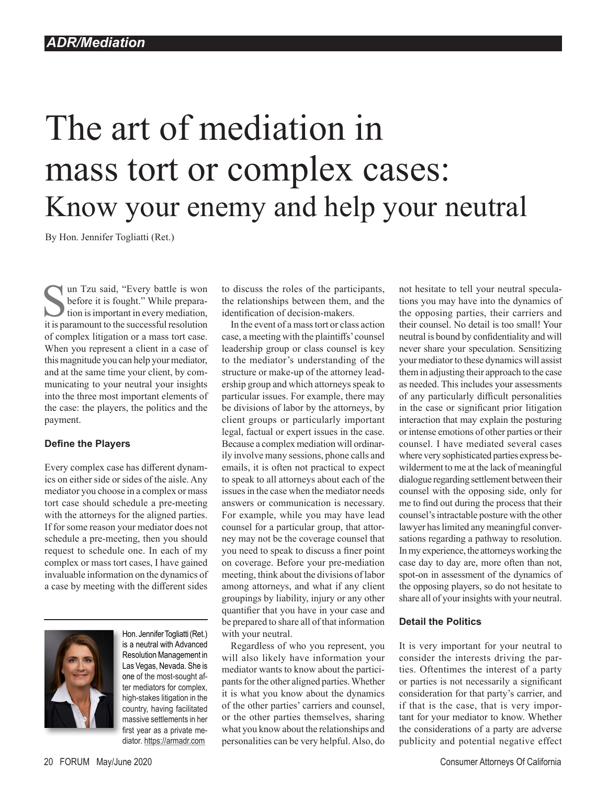## The art of mediation in mass tort or complex cases: Know your enemy and help your neutral

By Hon. Jennifer Togliatti (Ret.)

Sun Tzu said, "Every battle is won<br>before it is fought." While prepara-<br>tion is important in every mediation,<br>it is naramount to the successful resolution before it is fought." While preparation is important in every mediation, it is paramount to the successful resolution of complex litigation or a mass tort case. When you represent a client in a case of this magnitude you can help your mediator, and at the same time your client, by communicating to your neutral your insights into the three most important elements of the case: the players, the politics and the payment.

## **Define the Players**

Every complex case has different dynamics on either side or sides of the aisle. Any mediator you choose in a complex or mass tort case should schedule a pre-meeting with the attorneys for the aligned parties. If for some reason your mediator does not schedule a pre-meeting, then you should request to schedule one. In each of my complex or mass tort cases, I have gained invaluable information on the dynamics of a case by meeting with the different sides



is a neutral with Advanced Resolution Management in Las Vegas, Nevada. She is one of the most-sought after mediators for complex, high-stakes litigation in the country, having facilitated massive settlements in her first year as a private mediator. <https://armadr.com>

Hon. Jennifer Togliatti (Ret.)

to discuss the roles of the participants, the relationships between them, and the identification of decision-makers.

In the event of a mass tort or class action case, a meeting with the plaintiffs' counsel leadership group or class counsel is key to the mediator's understanding of the structure or make-up of the attorney leadership group and which attorneys speak to particular issues. For example, there may be divisions of labor by the attorneys, by client groups or particularly important legal, factual or expert issues in the case. Because a complex mediation will ordinarily involve many sessions, phone calls and emails, it is often not practical to expect to speak to all attorneys about each of the issues in the case when the mediator needs answers or communication is necessary. For example, while you may have lead counsel for a particular group, that attorney may not be the coverage counsel that you need to speak to discuss a finer point on coverage. Before your pre-mediation meeting, think about the divisions of labor among attorneys, and what if any client groupings by liability, injury or any other quantifier that you have in your case and be prepared to share all of that information with your neutral.

Regardless of who you represent, you will also likely have information your mediator wants to know about the participants for the other aligned parties. Whether it is what you know about the dynamics of the other parties' carriers and counsel, or the other parties themselves, sharing what you know about the relationships and personalities can be very helpful. Also, do

not hesitate to tell your neutral speculations you may have into the dynamics of the opposing parties, their carriers and their counsel. No detail is too small! Your neutral is bound by confidentiality and will never share your speculation. Sensitizing your mediator to these dynamics will assist them in adjusting their approach to the case as needed. This includes your assessments of any particularly difficult personalities in the case or significant prior litigation interaction that may explain the posturing or intense emotions of other parties or their counsel. I have mediated several cases where very sophisticated parties express bewilderment to me at the lack of meaningful dialogue regarding settlement between their counsel with the opposing side, only for me to find out during the process that their counsel's intractable posture with the other lawyer has limited any meaningful conversations regarding a pathway to resolution. In my experience, the attorneys working the case day to day are, more often than not, spot-on in assessment of the dynamics of the opposing players, so do not hesitate to share all of your insights with your neutral.

## **Detail the Politics**

It is very important for your neutral to consider the interests driving the parties. Oftentimes the interest of a party or parties is not necessarily a significant consideration for that party's carrier, and if that is the case, that is very important for your mediator to know. Whether the considerations of a party are adverse publicity and potential negative effect